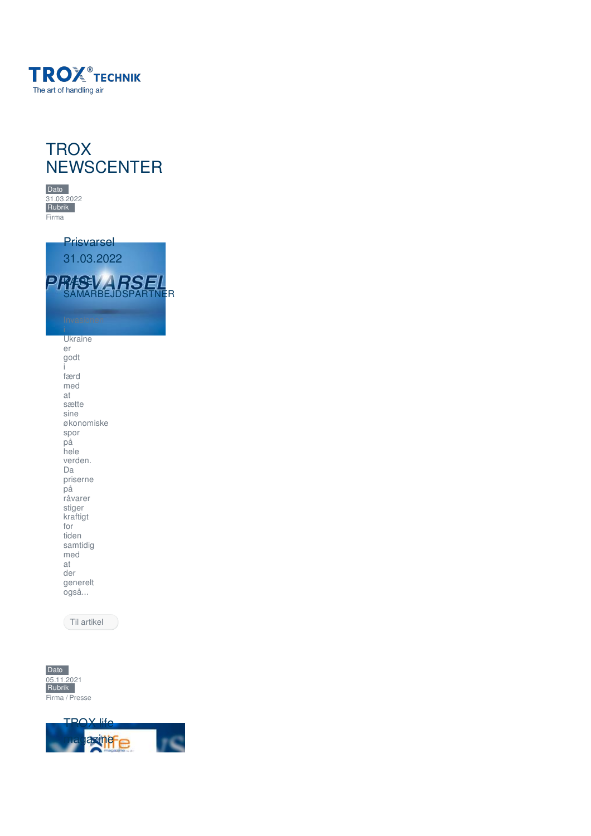





Prisvarsel [31.03.2022](https://www.trox.dk/trox-newscenter/prisvarsel-31-03-2022-f13afb2d1d3c0f39) WESE SAMARBEJDSPARTNER Ukraine er

godt i færd med at sætte sine økonomiske spor på hele verden. Da priserne på råvarer stiger kraftigt for tiden samtidig med at der generelt også...

Til [artikel](https://www.trox.dk/trox-newscenter/prisvarsel-31-03-2022-f13afb2d1d3c0f39)



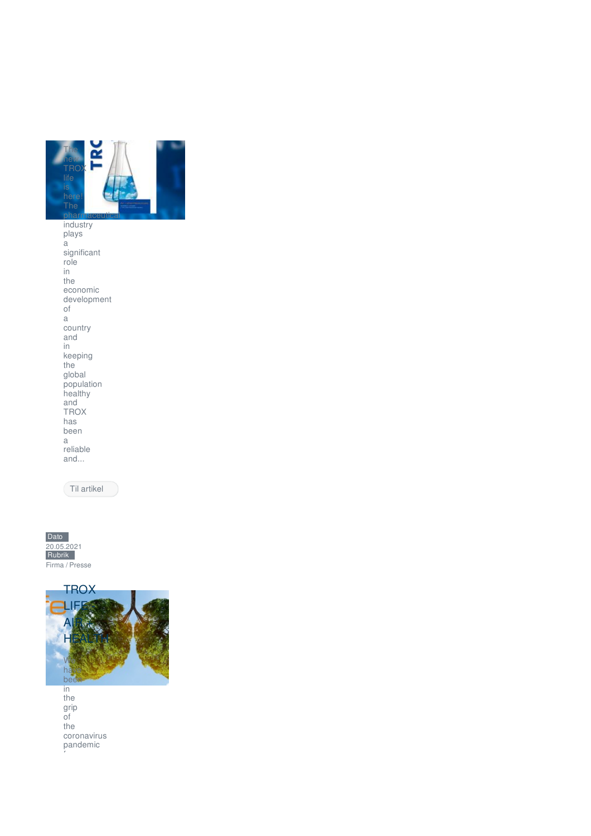

industry plays a significant role in the economic development of a country and in keeping the global population healthy and TROX has been a reliable and...

Til [artikel](https://www.trox.dk/trox-newscenter/trox-life-magazine-f0c78b0b64154dcc)





the grip of the coronavirus pandemic

for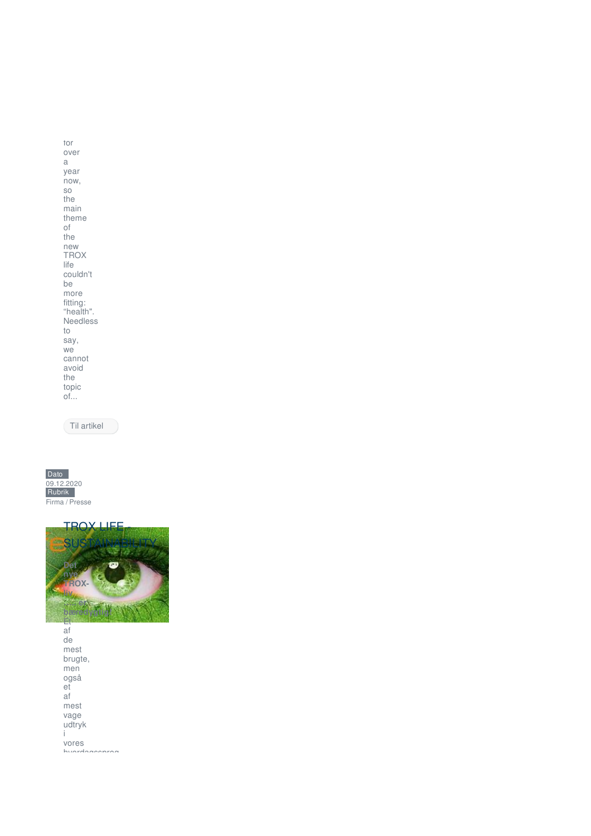for over a year now, so the main theme of the new TROX life couldn't be more fitting: "health". Needless to say, we cannot avoid the topic of...

Til [artikel](https://www.trox.dk/trox-newscenter/trox-life---air-+-health-7f7008760ec4f797)





af de mest brugte, men også et af mest vage udtryk i vores hverdagssprog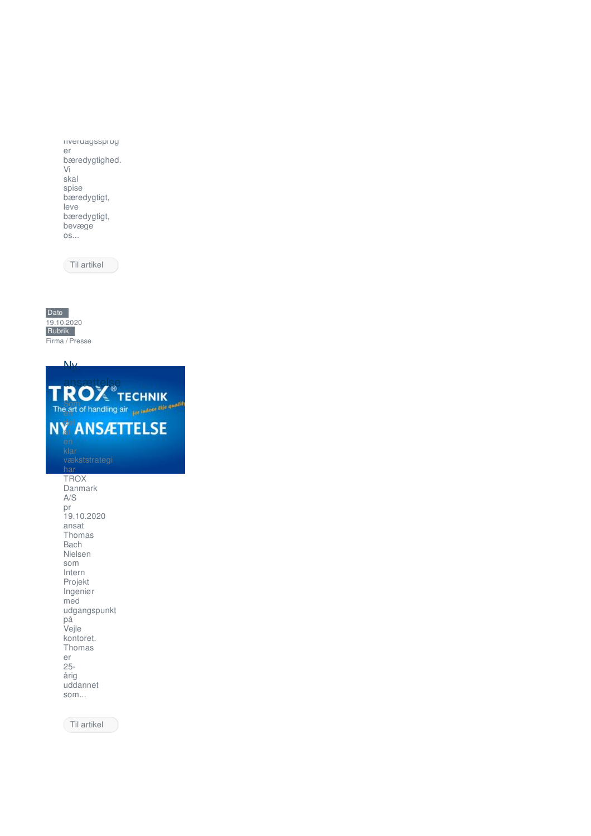hverdagssprog er bæredygtighed. Vi skal spise bæredygtigt, leve bæredygtigt, bevæge os...

Til [artikel](https://www.trox.dk/trox-newscenter/trox-life---sustainability-847933fe6a06e50a)



Ny

[ansættelse](https://www.trox.dk/trox-newscenter/ny-ans%25C3%25A6ttelse-7b10d941bc967c5c) Som en del af **TROX** Danmark A/S pr 19.10.2020 ansat Thomas Bach Nielsen som Intern Projekt Ingeniør med udgangspunkt på Vejle kontoret. Thomas er 25 årig uddannet som...

Til [artikel](https://www.trox.dk/trox-newscenter/ny-ans%25C3%25A6ttelse-7b10d941bc967c5c)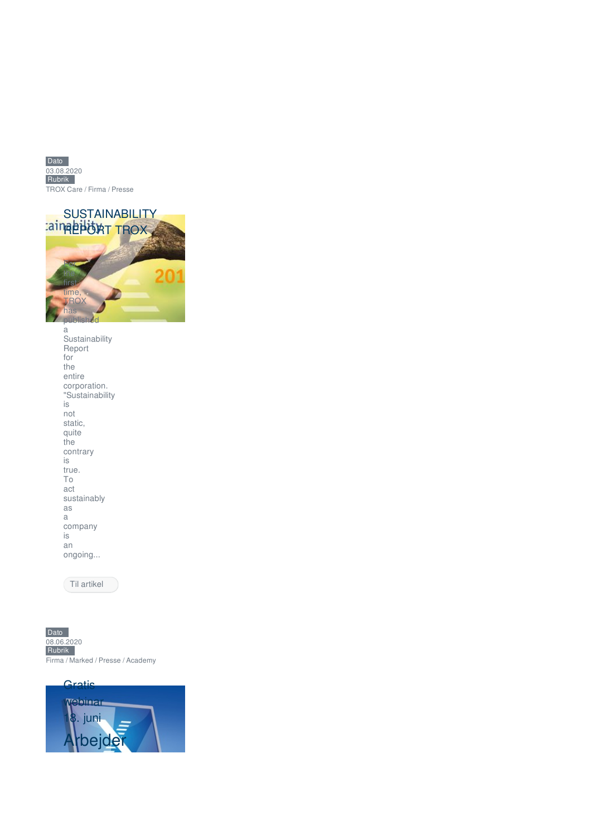



| Sustainability  |
|-----------------|
| Report          |
| for             |
| the             |
| entire          |
| corporation.    |
| "Sustainability |
| is              |
| not             |
| static.         |
| quite           |
| the             |
| contrary        |
| is              |
| true.           |
| Τo              |
| act             |
| sustainably     |
| as              |
| a               |
| company         |
| is              |
| an              |
| ongoing         |
|                 |

Til [artikel](https://www.trox.dk/trox-newscenter/sustainability-report-trox-6d0dbd6992e2ae33)



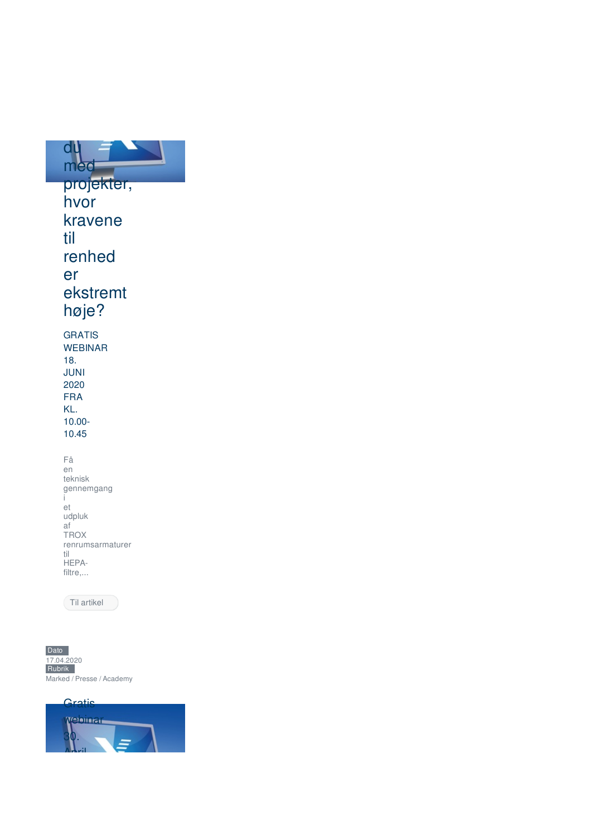

i et udpluk af TROX renrumsarmaturer til HEPAfiltre,...

Til [artikel](https://www.trox.dk/trox-newscenter/gratis-webinar-18-juni-4cc6243a8b33037d)

Dato 17.04.2020 Rubrik Marked / Presse / Academy

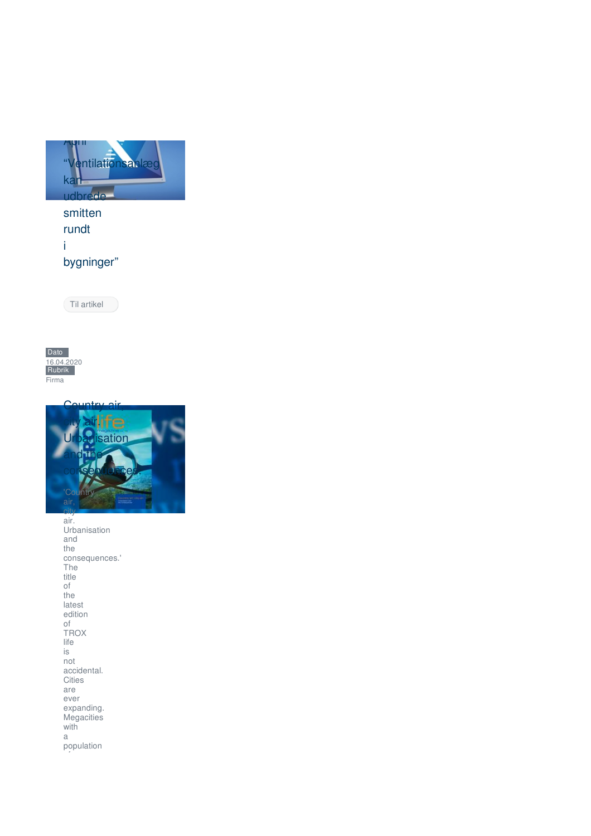

smitten rundt i bygninger"

Til [artikel](https://www.trox.dk/trox-newscenter/gratis-webinar-30-april-1e6a80494e0ded32)





air. Urbanisation and the consequences.' The title of the latest edition of TROX life is not accidental. Cities are ever expanding. Megacities with a population of